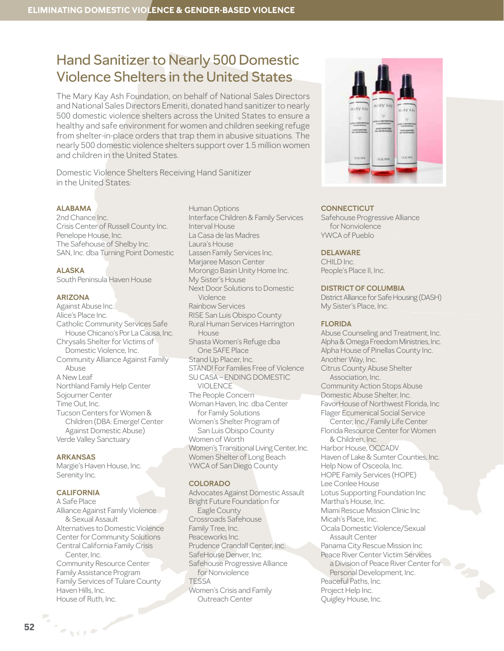# Hand Sanitizer to Nearly 500 Domestic Violence Shelters in the United States

The Mary Kay Ash Foundation, on behalf of National Sales Directors and National Sales Directors Emeriti, donated hand sanitizer to nearly 500 domestic violence shelters across the United States to ensure a healthy and safe environment for women and children seeking refuge from shelter-in-place orders that trap them in abusive situations. The nearly 500 domestic violence shelters support over 1.5 million women and children in the United States.

Domestic Violence Shelters Receiving Hand Sanitizer in the United States:

# **ALABAMA**

2nd Chance Inc. Crisis Center of Russell County Inc. Penelope House, Inc. The Safehouse of Shelby Inc. SAN, Inc. dba Turning Point Domestic

# **ALASKA**

South Peninsula Haven House

# **ARIZONA**

Against Abuse Inc. Alice's Place Inc. Catholic Community Services Safe House Chicano's Por La Causa, Inc. Chrysalis Shelter for Victims of Domestic Violence, Inc. Community Alliance Against Family Abuse A New Leaf Northland Family Help Center Sojourner Center Time Out, Inc. Tucson Centers for Women & Children (DBA: Emerge! Center Against Domestic Abuse) Verde Valley Sanctuary

### **ARKANSAS**

Margie's Haven House, Inc. Serenity Inc.

### **CALIFORNIA**

**NOTE** 

A Safe Place Alliance Against Family Violence & Sexual Assault Alternatives to Domestic Violence Center for Community Solutions Central California Family Crisis Center, Inc. Community Resource Center Family Assistance Program Family Services of Tulare County Haven Hills, Inc. House of Ruth, Inc.

Human Options Interface Children & Family Services Interval House La Casa de las Madres Laura's House Lassen Family Services Inc. Marjaree Mason Center Morongo Basin Unity Home Inc. My Sister's House Next Door Solutions to Domestic Violence Rainbow Services RISE San Luis Obispo County Rural Human Services Harrington House Shasta Women's Refuge dba One SAFE Place Stand Up Placer, Inc. STAND! For Families Free of Violence SU CASA – ENDING DOMESTIC VIOLENCE The People Concern Woman Haven, Inc. dba Center for Family Solutions Women's Shelter Program of San Luis Obispo County Women of Worth Women's Transitional Living Center, Inc. Women Shelter of Long Beach YWCA of San Diego County

# **COLORADO**

Advocates Against Domestic Assault Bright Future Foundation for Eagle County Crossroads Safehouse Family Tree, Inc. Peaceworks Inc. Prudence Crandall Center, Inc. SafeHouse Denver, Inc. Safehouse Progressive Alliance for Nonviolence TESSA Women's Crisis and Family Outreach Center



# **CONNECTICUT**

Safehouse Progressive Alliance for Nonviolence YWCA of Pueblo

# **DELAWARE**

CHILD Inc. People's Place II, Inc.

#### **DISTRICT OF COLUMBIA**

District Alliance for Safe Housing (DASH) My Sister's Place, Inc.

# **FLORIDA**

Abuse Counseling and Treatment, Inc. Alpha & Omega Freedom Ministries, Inc. Alpha House of Pinellas County Inc. Another Way, Inc. Citrus County Abuse Shelter Association, Inc. Community Action Stops Abuse Domestic Abuse Shelter, Inc. FavorHouse of Northwest Florida, Inc Flager Ecumenical Social Service Center, Inc./ Family Life Center Florida Resource Center for Women & Children, Inc. Harbor House, OCCADV Haven of Lake & Sumter Counties, Inc. Help Now of Osceola, Inc. HOPE Family Services (HOPE) Lee Conlee House Lotus Supporting Foundation Inc Martha's House, Inc. Miami Rescue Mission Clinic Inc Micah's Place, Inc. Ocala Domestic Violence/Sexual Assault Center Panama City Rescue Mission Inc Peace River Center Victim Services a Division of Peace River Center for Personal Development, Inc. Peaceful Paths, Inc. Project Help Inc. Quigley House, Inc.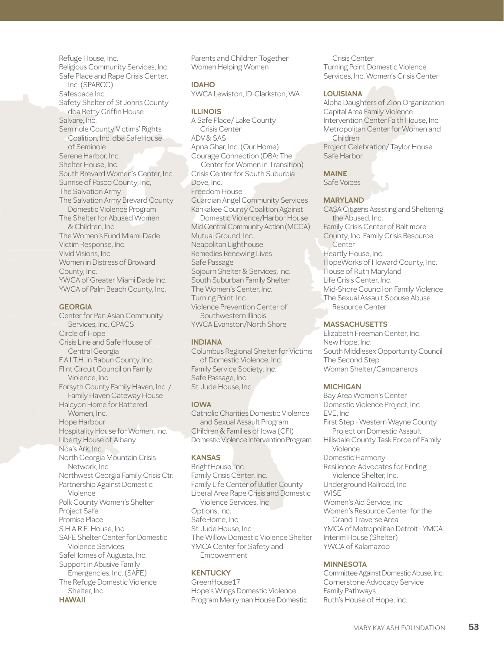Refuge House, Inc. Religious Community Services, Inc. Safe Place and Rape Crisis Center, Inc. (SPARCC) Safespace Inc Safety Shelter of St Johns County dba Betty Griffin House Salvare, Inc. Seminole County Victims' Rights Coalition, Inc. dba SafeHouse of Seminole Serene Harbor, Inc. Shelter House, Inc. South Brevard Women's Center, Inc. Sunrise of Pasco County, Inc, The Salvation Army The Salvation Army Brevard County Domestic Violence Program The Shelter for Abused Women & Children, Inc. The Women's Fund Miami-Dade Victim Response, Inc. Vivid Visions, Inc. Women in Distress of Broward County, Inc. YWCA of Greater Miami Dade Inc. YWCA of Palm Beach County, Inc.

## **GEORGIA**

Center for Pan Asian Community Services, Inc. CPACS Circle of Hope Crisis Line and Safe House of Central Georgia F.A.I.T.H. in Rabun County, Inc. Flint Circuit Council on Family Violence, Inc. Forsyth County Family Haven, Inc. / Family Haven Gateway House Halcyon Home for Battered Women, Inc. Hope Harbour Hospitality House for Women, Inc. Liberty House of Albany Noa's Ark, Inc. North Georgia Mountain Crisis Network, Inc Northwest Georgia Family Crisis Ctr. Partnership Against Domestic Violence Polk County Women's Shelter Project Safe Promise Place S.H.A.R.E. House, Inc SAFE Shelter Center for Domestic Violence Services SafeHomes of Augusta, Inc. Support in Abusive Family Emergencies, Inc. (SAFE) The Refuge Domestic Violence Shelter, Inc. **HAWAII**

Parents and Children Together Women Helping Women

**IDAHO** YWCA Lewiston, ID-Clarkston, WA

# **ILLINOIS**

A Safe Place/ Lake County Crisis Center ADV & SAS Apna Ghar, Inc. (Our Home) Courage Connection (DBA: The Center for Women in Transition) Crisis Center for South Suburbia Dove, Inc. Freedom House Guardian Angel Community Services Kankakee County Coalition Against Domestic Violence/Harbor House Mid Central Community Action (MCCA) Mutual Ground, Inc. Neapolitan Lighthouse Remedies Renewing Lives Safe Passage Sojourn Shelter & Services, Inc. South Suburban Family Shelter The Women's Center, Inc. Turning Point, Inc. Violence Prevention Center of Southwestern Illinois YWCA Evanston/North Shore

# **INDIANA**

Columbus Regional Shelter for Victims of Domestic Violence, Inc. Family Service Society, Inc. Safe Passage, Inc. St. Jude House, Inc.

# **IOWA**

Catholic Charities Domestic Violence and Sexual Assault Program Children & Families of Iowa (CFI) Domestic Violence Intervention Program

# **KANSAS**

BrightHouse, Inc. Family Crisis Center, Inc. Family Life Center of Butler County Liberal Area Rape Crisis and Domestic Violence Services, Inc Options, Inc. SafeHome, Inc St. Jude House, Inc. The Willow Domestic Violence Shelter YMCA Center for Safety and Empowerment

# **KENTUCKY**

GreenHouse17 Hope's Wings Domestic Violence Program Merryman House Domestic

Crisis Center Turning Point Domestic Violence Services, Inc. Women's Crisis Center

# **LOUISIANA**

Alpha Daughters of Zion Organization Capital Area Family Violence Intervention Center Faith House, Inc. Metropolitan Center for Women and Children Project Celebration/ Taylor House Safe Harbor

**MAINE**

Safe Voices

# **MARYLAND**

CASA Citizens Assisting and Sheltering the Abused, Inc. Family Crisis Center of Baltimore County, Inc. Family Crisis Resource **Center** Heartly House, Inc. HopeWorks of Howard County, Inc. House of Ruth Maryland Life Crisis Center, Inc. Mid-Shore Council on Family Violence The Sexual Assault Spouse Abuse Resource Center

# **MASSACHUSETTS**

Elizabeth Freeman Center, Inc. New Hope, Inc. South Middlesex Opportunity Council The Second Step Woman Shelter/Campaneros

# **MICHIGAN**

Bay Area Women's Center Domestic Violence Project, Inc EVE, Inc First Step - Western Wayne County Project on Domestic Assault Hillsdale County Task Force of Family Violence Domestic Harmony Resilience: Advocates for Ending Violence Shelter, Inc. Underground Railroad, Inc **WISE** Women's Aid Service, Inc Women's Resource Center for the Grand Traverse Area YMCA of Metropolitan Detroit - YMCA Interim House (Shelter) YWCA of Kalamazoo

# **MINNESOTA**

Committee Against Domestic Abuse, Inc. Cornerstone Advocacy Service Family Pathways Ruth's House of Hope, Inc.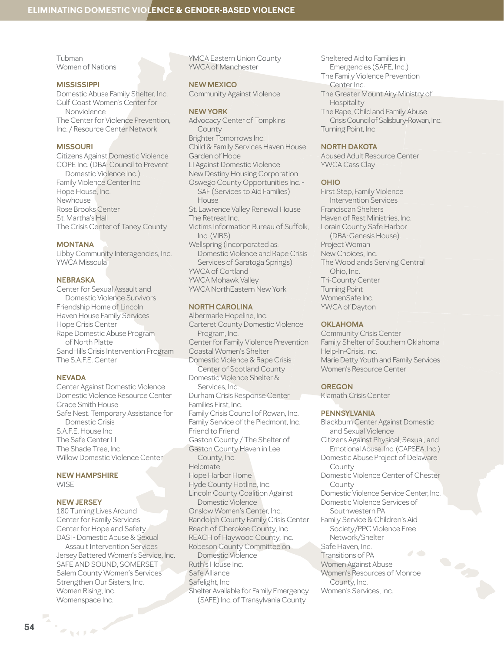Tubman Women of Nations

# **MISSISSIPPI**

Domestic Abuse Family Shelter, Inc. Gulf Coast Women's Center for Nonviolence The Center for Violence Prevention, Inc. / Resource Center Network

## **MISSOURI**

Citizens Against Domestic Violence COPE Inc. (DBA: Council to Prevent Domestic Violence Inc.) Family Violence Center Inc Hope House, Inc. Newhouse Rose Brooks Center St. Martha's Hall The Crisis Center of Taney County

## **MONTANA**

Libby Community Interagencies, Inc. YWCA Missoula

# **NEBRASKA**

Center for Sexual Assault and Domestic Violence Survivors Friendship Home of Lincoln Haven House Family Services Hope Crisis Center Rape Domestic Abuse Program of North Platte SandHills Crisis Intervention Program The S.A.F.E. Center

# **NEVADA**

Center Against Domestic Violence Domestic Violence Resource Center Grace Smith House Safe Nest: Temporary Assistance for Domestic Crisis S.A.F.E. House Inc The Safe Center LI The Shade Tree, Inc. Willow Domestic Violence Center

## **NEW HAMPSHIRE WISE**

## **NEW JERSEY**

マイチや

180 Turning Lives Around Center for Family Services Center for Hope and Safety DASI - Domestic Abuse & Sexual

Assault Intervention Services Jersey Battered Women's Service, Inc. SAFE AND SOUND, SOMERSET Salem County Women's Services Strengthen Our Sisters, Inc. Women Rising, Inc. Womenspace Inc.

YMCA Eastern Union County YWCA of Manchester

**NEW MEXICO** Community Against Violence

### **NEW YORK**

Advocacy Center of Tompkins County Brighter Tomorrows Inc. Child & Family Services Haven House Garden of Hope LI Against Domestic Violence New Destiny Housing Corporation Oswego County Opportunities Inc. - SAF (Services to Aid Families) House St. Lawrence Valley Renewal House The Retreat Inc. Victims Information Bureau of Suffolk, Inc. (VIBS) Wellspring (Incorporated as: Domestic Violence and Rape Crisis Services of Saratoga Springs) YWCA of Cortland YWCA Mohawk Valley YWCA NorthEastern New York

## **NORTH CAROLINA**

Albermarle Hopeline, Inc. Carteret County Domestic Violence Program, Inc. Center for Family Violence Prevention Coastal Women's Shelter Domestic Violence & Rape Crisis Center of Scotland County Domestic Violence Shelter & Services, Inc. Durham Crisis Response Center Families First, Inc. Family Crisis Council of Rowan, Inc. Family Service of the Piedmont, Inc. Friend to Friend Gaston County / The Shelter of Gaston County Haven in Lee County, Inc. Helpmate Hope Harbor Home Hyde County Hotline, Inc. Lincoln County Coalition Against Domestic Violence Onslow Women's Center, Inc. Randolph County Family Crisis Center Reach of Cherokee County, Inc REACH of Haywood County, Inc. Robeson County Committee on Domestic Violence Ruth's House Inc. Safe Alliance Safelight, Inc Shelter Available for Family Emergency (SAFE) Inc, of Transylvania County

Sheltered Aid to Families in Emergencies (SAFE, Inc.) The Family Violence Prevention Center Inc. The Greater Mount Airy Ministry of Hospitality The Rape, Child and Family Abuse Crisis Council of Salisbury-Rowan, Inc. Turning Point, Inc

#### **NORTH DAKOTA**

Abused Adult Resource Center YWCA Cass Clay

## **OHIO**

First Step, Family Violence Intervention Services Franciscan Shelters Haven of Rest Ministries, Inc. Lorain County Safe Harbor (DBA: Genesis House) Project Woman New Choices, Inc. The Woodlands Serving Central Ohio, Inc. Tri-County Center Turning Point WomenSafe Inc. YWCA of Dayton

## **OKLAHOMA**

Community Crisis Center Family Shelter of Southern Oklahoma Help-In-Crisis, Inc. Marie Detty Youth and Family Services Women's Resource Center

## **OREGON**

Klamath Crisis Center

## **PENNSYLVANIA**

Blackburn Center Against Domestic and Sexual Violence Citizens Against Physical, Sexual, and Emotional Abuse, Inc. (CAPSEA, Inc.) Domestic Abuse Project of Delaware County Domestic Violence Center of Chester County Domestic Violence Service Center, Inc. Domestic Violence Services of Southwestern PA Family Service & Children's Aid Society/PPC Violence Free Network/Shelter Safe Haven, Inc.  $\overline{\phantom{a}}$ Transitions of PA Women Against Abuse Women's Resources of Monroe County, Inc. Women's Services, Inc.